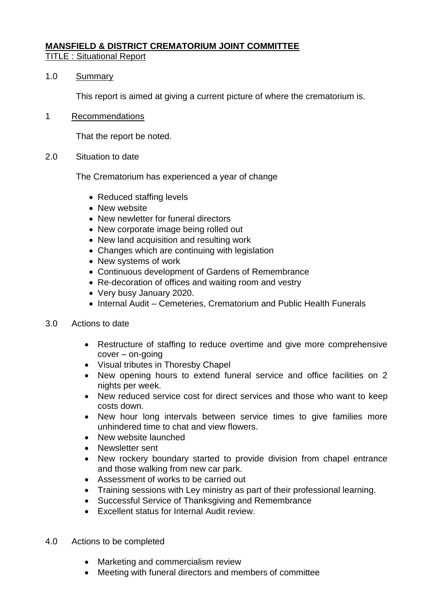# **MANSFIELD & DISTRICT CREMATORIUM JOINT COMMITTEE**

## TITLE : Situational Report

### 1.0 Summary

This report is aimed at giving a current picture of where the crematorium is.

### 1 Recommendations

That the report be noted.

2.0 Situation to date

The Crematorium has experienced a year of change

- Reduced staffing levels
- New website
- New newletter for funeral directors
- New corporate image being rolled out
- New land acquisition and resulting work
- Changes which are continuing with legislation
- New systems of work
- Continuous development of Gardens of Remembrance
- Re-decoration of offices and waiting room and vestry
- Very busy January 2020.
- Internal Audit Cemeteries, Crematorium and Public Health Funerals
- 3.0 Actions to date
	- Restructure of staffing to reduce overtime and give more comprehensive cover – on-going
	- Visual tributes in Thoresby Chapel
	- New opening hours to extend funeral service and office facilities on 2 nights per week.
	- New reduced service cost for direct services and those who want to keep costs down.
	- New hour long intervals between service times to give families more unhindered time to chat and view flowers.
	- New website launched
	- Newsletter sent
	- New rockery boundary started to provide division from chapel entrance and those walking from new car park.
	- Assessment of works to be carried out
	- Training sessions with Ley ministry as part of their professional learning.
	- Successful Service of Thanksgiving and Remembrance
	- Excellent status for Internal Audit review.
- 4.0 Actions to be completed
	- Marketing and commercialism review
	- Meeting with funeral directors and members of committee